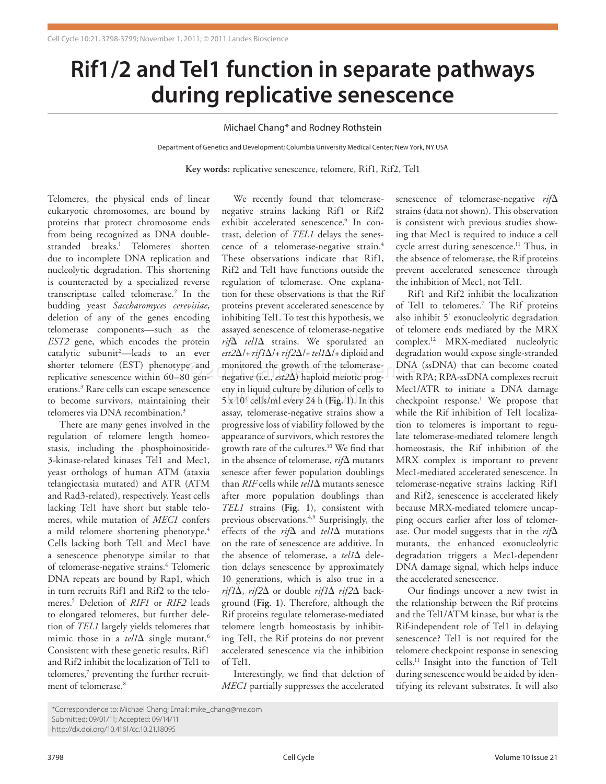## **Rif1/2 and Tel1 function in separate pathways during replicative senescence**

## Michael Chang\* and Rodney Rothstein

Department of Genetics and Development; Columbia University Medical Center; New York, NY USA

**Key words:** replicative senescence, telomere, Rif1, Rif2, Tel1

Telomeres, the physical ends of linear eukaryotic chromosomes, are bound by proteins that protect chromosome ends from being recognized as DNA doublestranded breaks.1 Telomeres shorten due to incomplete DNA replication and nucleolytic degradation. This shortening is counteracted by a specialized reverse transcriptase called telomerase.<sup>2</sup> In the budding yeast *Saccharomyces cerevisiae*, deletion of any of the genes encoding telomerase components—such as the *EST2* gene, which encodes the protein catalytic subunit2 —leads to an **e**ver **s**horter **t**elomere (EST) phenotype and replicative senescence within 60–80 generations.3 Rare cells can escape senescence to become survivors, maintaining their telomeres via DNA recombination.<sup>3</sup>

There are many genes involved in the regulation of telomere length homeostasis, including the phosphoinositide-3-kinase-related kinases Tel1 and Mec1, yeast orthologs of human ATM (ataxia telangiectasia mutated) and ATR (ATM and Rad3-related), respectively. Yeast cells lacking Tel1 have short but stable telomeres, while mutation of *MEC1* confers a mild telomere shortening phenotype.<sup>4</sup> Cells lacking both Tel1 and Mec1 have a senescence phenotype similar to that of telomerase-negative strains.<sup>4</sup> Telomeric DNA repeats are bound by Rap1, which in turn recruits Rif1 and Rif2 to the telomeres.5 Deletion of *RIF1* or *RIF2* leads to elongated telomeres, but further deletion of *TEL1* largely yields telomeres that mimic those in a *tel1*Δ single mutant.6 Consistent with these genetic results, Rif1 and Rif2 inhibit the localization of Tel1 to telomeres,<sup>7</sup> preventing the further recruitment of telomerase.<sup>8</sup>

e and monitored the growth of the telomerase-<br>0 gen- negative (i.e., est2 $\Delta$ ) haploid meiotic prog-with RPA; eny in liquid culture by dilution of cells to<br>5 x 10<sup>4</sup> cells/ml every 24 h (Fi**g.** 1). In this We recently found that telomerasenegative strains lacking Rif1 or Rif2 exhibit accelerated senescence.<sup>9</sup> In contrast, deletion of *TEL1* delays the senescence of a telomerase-negative strain.4 These observations indicate that Rif1, Rif2 and Tel1 have functions outside the regulation of telomerase. One explanation for these observations is that the Rif proteins prevent accelerated senescence by inhibiting Tel1. To test this hypothesis, we assayed senescence of telomerase-negative *rif*Δ *tel1*Δ strains. We sporulated an *est2*Δ/+ *rif1*Δ/+ *rif2*Δ/+ *tel1*Δ/+ diploid and negative (i.e., *est2*Δ) haploid meiotic progeny in liquid culture by dilution of cells to assay, telomerase-negative strains show a progressive loss of viability followed by the appearance of survivors, which restores the growth rate of the cultures.10 We find that in the absence of telomerase, *rif*Δ mutants senesce after fewer population doublings than *RIF* cells while *tel1*Δ mutants senesce after more population doublings than *TEL1* strains (**Fig. 1**), consistent with previous observations.4,9 Surprisingly, the effects of the *rif*Δ and *tel1*Δ mutations on the rate of senescence are additive. In the absence of telomerase, a *tel1*Δ deletion delays senescence by approximately 10 generations, which is also true in a *rif1*Δ, *rif2*Δ or double *rif1*Δ *rif2*Δ background (**Fig. 1**). Therefore, although the Rif proteins regulate telomerase-mediated telomere length homeostasis by inhibiting Tel1, the Rif proteins do not prevent accelerated senescence via the inhibition of Tel1.

> Interestingly, we find that deletion of *MEC1* partially suppresses the accelerated

senescence of telomerase-negative *rif*Δ strains (data not shown). This observation is consistent with previous studies showing that Mec1 is required to induce a cell cycle arrest during senescence.<sup>11</sup> Thus, in the absence of telomerase, the Rif proteins prevent accelerated senescence through the inhibition of Mec1, not Tel1.

Rif1 and Rif2 inhibit the localization of Tel1 to telomeres.<sup>7</sup> The Rif proteins also inhibit 5' exonucleolytic degradation of telomere ends mediated by the MRX complex.12 MRX-mediated nucleolytic degradation would expose single-stranded DNA (ssDNA) that can become coated with RPA; RPA-ssDNA complexes recruit Mec1/ATR to initiate a DNA damage checkpoint response.<sup>1</sup> We propose that while the Rif inhibition of Tel1 localization to telomeres is important to regulate telomerase-mediated telomere length homeostasis, the Rif inhibition of the MRX complex is important to prevent Mec1-mediated accelerated senescence. In telomerase-negative strains lacking Rif1 and Rif2, senescence is accelerated likely because MRX-mediated telomere uncapping occurs earlier after loss of telomerase. Our model suggests that in the *rif*Δ mutants, the enhanced exonucleolytic degradation triggers a Mec1-dependent DNA damage signal, which helps induce the accelerated senescence.

Our findings uncover a new twist in the relationship between the Rif proteins and the Tel1/ATM kinase, but what is the Rif-independent role of Tel1 in delaying senescence? Tel1 is not required for the telomere checkpoint response in senescing cells.11 Insight into the function of Tel1 during senescence would be aided by identifying its relevant substrates. It will also

<sup>\*</sup>Correspondence to: Michael Chang; Email: mike\_chang@me.com Submitted: 09/01/11; Accepted: 09/14/11 http://dx.doi.org/10.4161/cc.10.21.18095